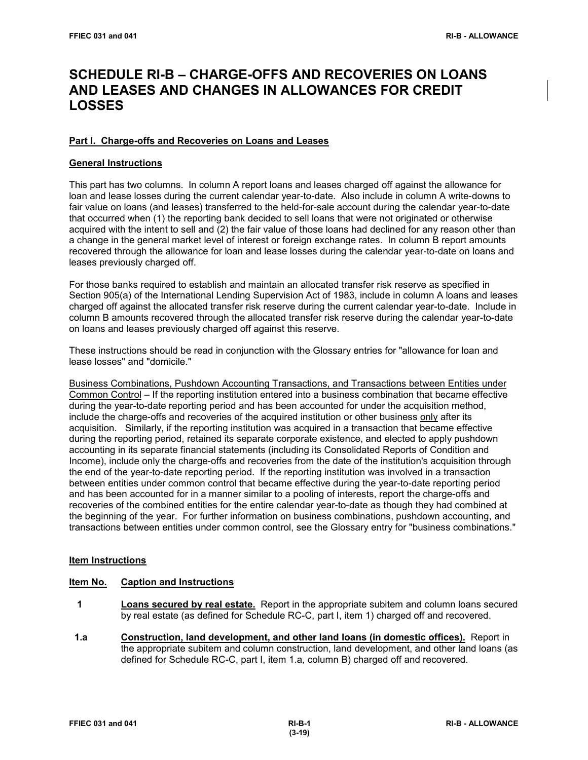# **SCHEDULE RI-B – CHARGE-OFFS AND RECOVERIES ON LOANS AND LEASES AND CHANGES IN ALLOWANCES FOR CREDIT LOSSES**

# **Part I. Charge-offs and Recoveries on Loans and Leases**

# **General Instructions**

This part has two columns. In column A report loans and leases charged off against the allowance for loan and lease losses during the current calendar year-to-date. Also include in column A write-downs to fair value on loans (and leases) transferred to the held-for-sale account during the calendar year-to-date that occurred when (1) the reporting bank decided to sell loans that were not originated or otherwise acquired with the intent to sell and (2) the fair value of those loans had declined for any reason other than a change in the general market level of interest or foreign exchange rates. In column B report amounts recovered through the allowance for loan and lease losses during the calendar year-to-date on loans and leases previously charged off.

For those banks required to establish and maintain an allocated transfer risk reserve as specified in Section 905(a) of the International Lending Supervision Act of 1983, include in column A loans and leases charged off against the allocated transfer risk reserve during the current calendar year-to-date. Include in column B amounts recovered through the allocated transfer risk reserve during the calendar year-to-date on loans and leases previously charged off against this reserve.

These instructions should be read in conjunction with the Glossary entries for "allowance for loan and lease losses" and "domicile."

Business Combinations, Pushdown Accounting Transactions, and Transactions between Entities under Common Control – If the reporting institution entered into a business combination that became effective during the year-to-date reporting period and has been accounted for under the acquisition method, include the charge-offs and recoveries of the acquired institution or other business only after its acquisition. Similarly, if the reporting institution was acquired in a transaction that became effective during the reporting period, retained its separate corporate existence, and elected to apply pushdown accounting in its separate financial statements (including its Consolidated Reports of Condition and Income), include only the charge-offs and recoveries from the date of the institution's acquisition through the end of the year-to-date reporting period. If the reporting institution was involved in a transaction between entities under common control that became effective during the year-to-date reporting period and has been accounted for in a manner similar to a pooling of interests, report the charge-offs and recoveries of the combined entities for the entire calendar year-to-date as though they had combined at the beginning of the year. For further information on business combinations, pushdown accounting, and transactions between entities under common control, see the Glossary entry for "business combinations."

# **Item Instructions**

#### **Item No. Caption and Instructions**

- **1 Loans secured by real estate.** Report in the appropriate subitem and column loans secured by real estate (as defined for Schedule RC-C, part I, item 1) charged off and recovered.
- **1.a Construction, land development, and other land loans (in domestic offices).** Report in the appropriate subitem and column construction, land development, and other land loans (as defined for Schedule RC-C, part I, item 1.a, column B) charged off and recovered.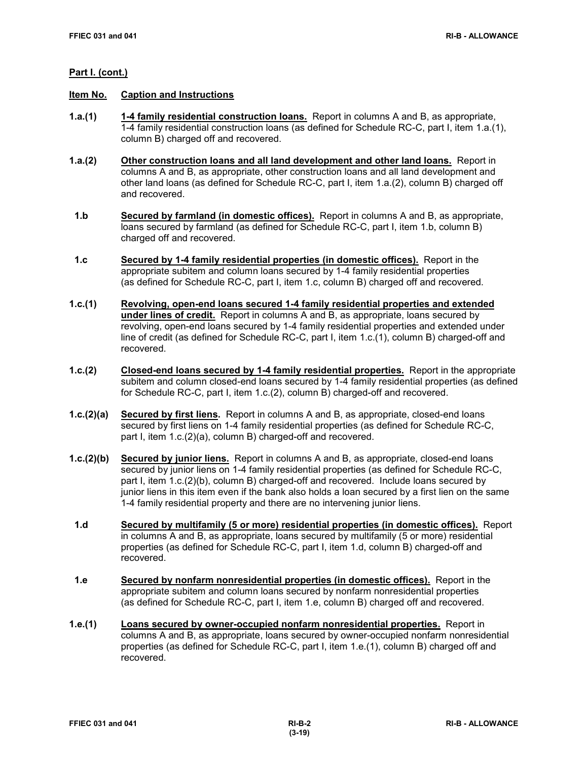- **Item No. Caption and Instructions**
- **1.a.(1) 1-4 family residential construction loans.** Report in columns A and B, as appropriate, 1-4 family residential construction loans (as defined for Schedule RC-C, part I, item 1.a.(1), column B) charged off and recovered.
- **1.a.(2) Other construction loans and all land development and other land loans.** Report in columns A and B, as appropriate, other construction loans and all land development and other land loans (as defined for Schedule RC-C, part I, item 1.a.(2), column B) charged off and recovered.
- **1.b Secured by farmland (in domestic offices).** Report in columns A and B, as appropriate, loans secured by farmland (as defined for Schedule RC-C, part I, item 1.b, column B) charged off and recovered.
- **1.c Secured by 1-4 family residential properties (in domestic offices).** Report in the appropriate subitem and column loans secured by 1-4 family residential properties (as defined for Schedule RC-C, part I, item 1.c, column B) charged off and recovered.
- **1.c.(1) Revolving, open-end loans secured 1-4 family residential properties and extended under lines of credit.** Report in columns A and B, as appropriate, loans secured by revolving, open-end loans secured by 1-4 family residential properties and extended under line of credit (as defined for Schedule RC-C, part I, item 1.c.(1), column B) charged-off and recovered.
- **1.c.(2) Closed-end loans secured by 1-4 family residential properties.** Report in the appropriate subitem and column closed-end loans secured by 1-4 family residential properties (as defined for Schedule RC-C, part I, item 1.c.(2), column B) charged-off and recovered.
- **1.c.(2)(a) Secured by first liens.** Report in columns A and B, as appropriate, closed-end loans secured by first liens on 1-4 family residential properties (as defined for Schedule RC-C, part I, item 1.c.(2)(a), column B) charged-off and recovered.
- **1.c.(2)(b) Secured by junior liens.** Report in columns A and B, as appropriate, closed-end loans secured by junior liens on 1-4 family residential properties (as defined for Schedule RC-C, part I, item 1.c.(2)(b), column B) charged-off and recovered. Include loans secured by junior liens in this item even if the bank also holds a loan secured by a first lien on the same 1-4 family residential property and there are no intervening junior liens.
- **1.d Secured by multifamily (5 or more) residential properties (in domestic offices).** Report in columns A and B, as appropriate, loans secured by multifamily (5 or more) residential properties (as defined for Schedule RC-C, part I, item 1.d, column B) charged-off and recovered.
- **1.e Secured by nonfarm nonresidential properties (in domestic offices).** Report in the appropriate subitem and column loans secured by nonfarm nonresidential properties (as defined for Schedule RC-C, part I, item 1.e, column B) charged off and recovered.
- **1.e.(1) Loans secured by owner-occupied nonfarm nonresidential properties.** Report in columns A and B, as appropriate, loans secured by owner-occupied nonfarm nonresidential properties (as defined for Schedule RC-C, part I, item 1.e.(1), column B) charged off and recovered.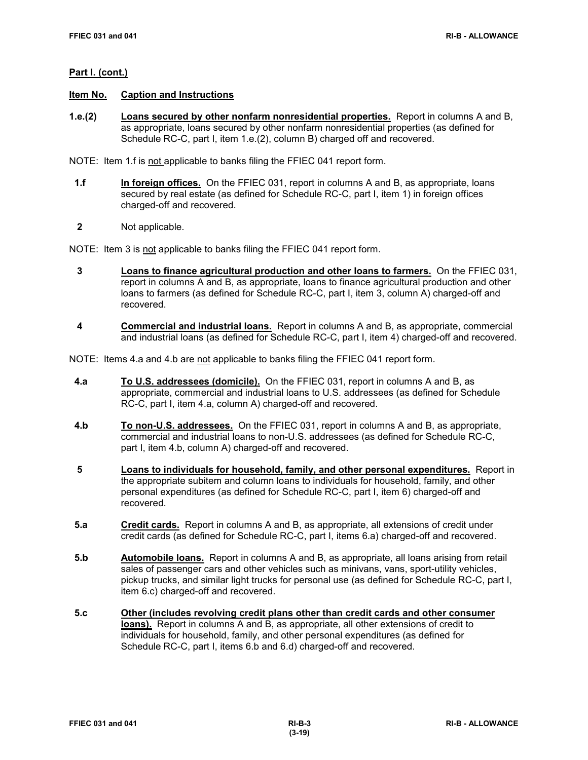#### **Item No. Caption and Instructions**

**1.e.(2) Loans secured by other nonfarm nonresidential properties.** Report in columns A and B, as appropriate, loans secured by other nonfarm nonresidential properties (as defined for Schedule RC-C, part I, item 1.e.(2), column B) charged off and recovered.

NOTE: Item 1.f is not applicable to banks filing the FFIEC 041 report form.

- **1.f In foreign offices.** On the FFIEC 031, report in columns A and B, as appropriate, loans secured by real estate (as defined for Schedule RC-C, part I, item 1) in foreign offices charged-off and recovered.
- **2** Not applicable.

NOTE: Item 3 is not applicable to banks filing the FFIEC 041 report form.

- **3 Loans to finance agricultural production and other loans to farmers.** On the FFIEC 031, report in columns A and B, as appropriate, loans to finance agricultural production and other loans to farmers (as defined for Schedule RC-C, part I, item 3, column A) charged-off and recovered.
- **4 Commercial and industrial loans.** Report in columns A and B, as appropriate, commercial and industrial loans (as defined for Schedule RC-C, part I, item 4) charged-off and recovered.

NOTE: Items 4.a and 4.b are not applicable to banks filing the FFIEC 041 report form.

- **4.a To U.S. addressees (domicile).** On the FFIEC 031, report in columns A and B, as appropriate, commercial and industrial loans to U.S. addressees (as defined for Schedule RC-C, part I, item 4.a, column A) charged-off and recovered.
- **4.b To non-U.S. addressees.** On the FFIEC 031, report in columns A and B, as appropriate, commercial and industrial loans to non-U.S. addressees (as defined for Schedule RC-C, part I, item 4.b, column A) charged-off and recovered.
- **5 Loans to individuals for household, family, and other personal expenditures.** Report in the appropriate subitem and column loans to individuals for household, family, and other personal expenditures (as defined for Schedule RC-C, part I, item 6) charged-off and recovered.
- **5.a Credit cards.** Report in columns A and B, as appropriate, all extensions of credit under credit cards (as defined for Schedule RC-C, part I, items 6.a) charged-off and recovered.
- **5.b Automobile loans.** Report in columns A and B, as appropriate, all loans arising from retail sales of passenger cars and other vehicles such as minivans, vans, sport-utility vehicles, pickup trucks, and similar light trucks for personal use (as defined for Schedule RC-C, part I, item 6.c) charged-off and recovered.
- **5.c Other (includes revolving credit plans other than credit cards and other consumer loans).** Report in columns A and B, as appropriate, all other extensions of credit to individuals for household, family, and other personal expenditures (as defined for Schedule RC-C, part I, items 6.b and 6.d) charged-off and recovered.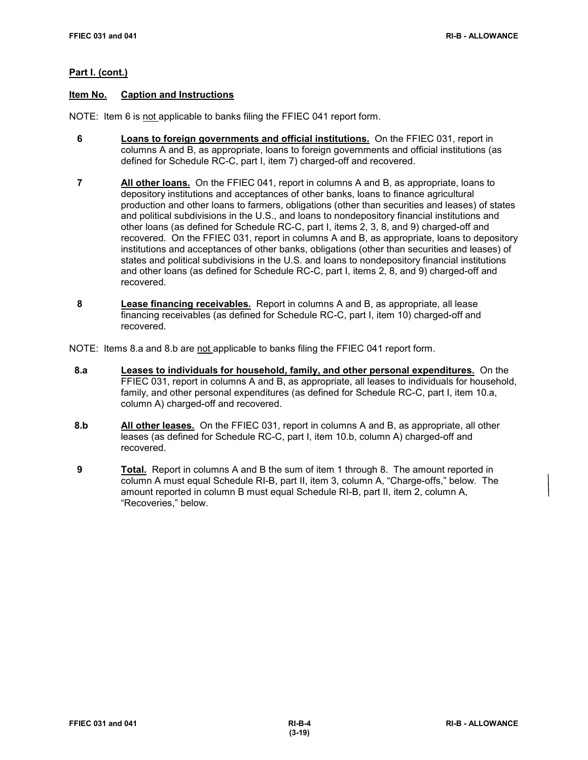# **Item No. Caption and Instructions**

NOTE: Item 6 is not applicable to banks filing the FFIEC 041 report form.

- **6 Loans to foreign governments and official institutions.** On the FFIEC 031, report in columns A and B, as appropriate, loans to foreign governments and official institutions (as defined for Schedule RC-C, part I, item 7) charged-off and recovered.
- **7 All other loans.** On the FFIEC 041, report in columns A and B, as appropriate, loans to depository institutions and acceptances of other banks, loans to finance agricultural production and other loans to farmers, obligations (other than securities and leases) of states and political subdivisions in the U.S., and loans to nondepository financial institutions and other loans (as defined for Schedule RC-C, part I, items 2, 3, 8, and 9) charged-off and recovered. On the FFIEC 031, report in columns A and B, as appropriate, loans to depository institutions and acceptances of other banks, obligations (other than securities and leases) of states and political subdivisions in the U.S. and loans to nondepository financial institutions and other loans (as defined for Schedule RC-C, part I, items 2, 8, and 9) charged-off and recovered.
- **8 Lease financing receivables.** Report in columns A and B, as appropriate, all lease financing receivables (as defined for Schedule RC-C, part I, item 10) charged-off and recovered.

NOTE: Items 8.a and 8.b are not applicable to banks filing the FFIEC 041 report form.

- **8.a Leases to individuals for household, family, and other personal expenditures.** On the FFIEC 031, report in columns A and B, as appropriate, all leases to individuals for household, family, and other personal expenditures (as defined for Schedule RC-C, part I, item 10.a, column A) charged-off and recovered.
- **8.b All other leases.** On the FFIEC 031, report in columns A and B, as appropriate, all other leases (as defined for Schedule RC-C, part I, item 10.b, column A) charged-off and recovered.
- **9 Total.** Report in columns A and B the sum of item 1 through 8. The amount reported in column A must equal Schedule RI-B, part II, item 3, column A, "Charge-offs," below. The amount reported in column B must equal Schedule RI-B, part II, item 2, column A, "Recoveries," below.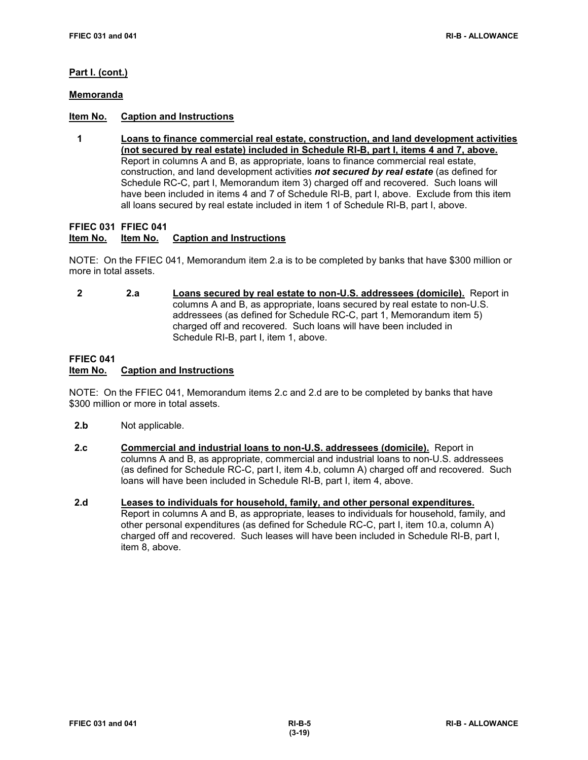#### **Memoranda**

# **Item No. Caption and Instructions**

 **1 Loans to finance commercial real estate, construction, and land development activities (not secured by real estate) included in Schedule RI-B, part I, items 4 and 7, above.** Report in columns A and B, as appropriate, loans to finance commercial real estate, construction, and land development activities *not secured by real estate* (as defined for Schedule RC-C, part I, Memorandum item 3) charged off and recovered. Such loans will have been included in items 4 and 7 of Schedule RI-B, part I, above. Exclude from this item all loans secured by real estate included in item 1 of Schedule RI-B, part I, above.

**FFIEC 031 FFIEC 041**

# **Item No. Item No. Caption and Instructions**

NOTE: On the FFIEC 041, Memorandum item 2.a is to be completed by banks that have \$300 million or more in total assets.

 **2 2.a Loans secured by real estate to non-U.S. addressees (domicile).** Report in columns A and B, as appropriate, loans secured by real estate to non-U.S. addressees (as defined for Schedule RC-C, part 1, Memorandum item 5) charged off and recovered. Such loans will have been included in Schedule RI-B, part I, item 1, above.

# **FFIEC 041 Caption and Instructions**

NOTE: On the FFIEC 041, Memorandum items 2.c and 2.d are to be completed by banks that have \$300 million or more in total assets.

- **2.b** Not applicable.
- **2.c Commercial and industrial loans to non-U.S. addressees (domicile).** Report in columns A and B, as appropriate, commercial and industrial loans to non-U.S. addressees (as defined for Schedule RC-C, part I, item 4.b, column A) charged off and recovered. Such loans will have been included in Schedule RI-B, part I, item 4, above.
- **2.d Leases to individuals for household, family, and other personal expenditures.** Report in columns A and B, as appropriate, leases to individuals for household, family, and other personal expenditures (as defined for Schedule RC-C, part I, item 10.a, column A) charged off and recovered. Such leases will have been included in Schedule RI-B, part I, item 8, above.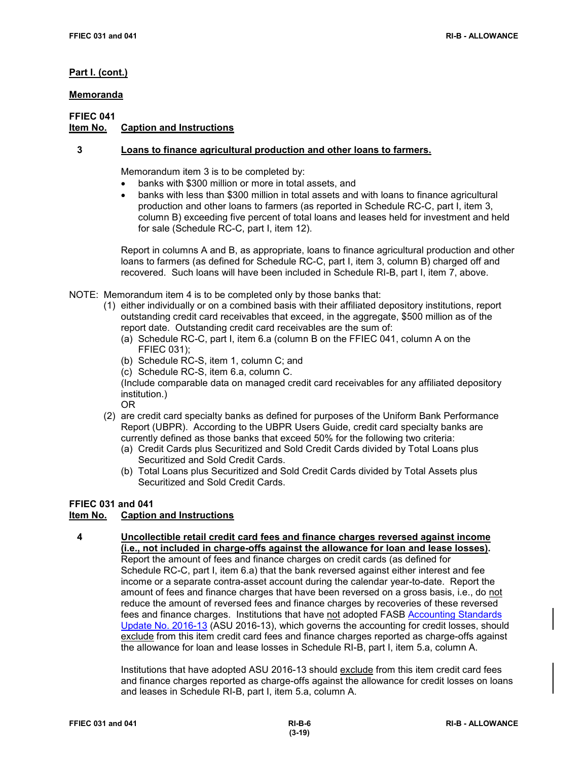# **Memoranda**

# **FFIEC 041**

# **Caption and Instructions**

# **3 Loans to finance agricultural production and other loans to farmers.**

Memorandum item 3 is to be completed by:

- banks with \$300 million or more in total assets, and
- banks with less than \$300 million in total assets and with loans to finance agricultural production and other loans to farmers (as reported in Schedule RC-C, part I, item 3, column B) exceeding five percent of total loans and leases held for investment and held for sale (Schedule RC-C, part I, item 12).

Report in columns A and B, as appropriate, loans to finance agricultural production and other loans to farmers (as defined for Schedule RC-C, part I, item 3, column B) charged off and recovered. Such loans will have been included in Schedule RI-B, part I, item 7, above.

- NOTE: Memorandum item 4 is to be completed only by those banks that:
	- (1) either individually or on a combined basis with their affiliated depository institutions, report outstanding credit card receivables that exceed, in the aggregate, \$500 million as of the report date. Outstanding credit card receivables are the sum of:
		- (a) Schedule RC-C, part I, item 6.a (column B on the FFIEC 041, column A on the FFIEC 031);
		- (b) Schedule RC-S, item 1, column C; and
		- (c) Schedule RC-S, item 6.a, column C.

(Include comparable data on managed credit card receivables for any affiliated depository institution.)

OR

- (2) are credit card specialty banks as defined for purposes of the Uniform Bank Performance Report (UBPR). According to the UBPR Users Guide, credit card specialty banks are currently defined as those banks that exceed 50% for the following two criteria:
	- (a) Credit Cards plus Securitized and Sold Credit Cards divided by Total Loans plus Securitized and Sold Credit Cards.
	- (b) Total Loans plus Securitized and Sold Credit Cards divided by Total Assets plus Securitized and Sold Credit Cards.

# **FFIEC 031 and 041**

# **Item No. Caption and Instructions**

 **4 Uncollectible retail credit card fees and finance charges reversed against income (i.e., not included in charge-offs against the allowance for loan and lease losses).** Report the amount of fees and finance charges on credit cards (as defined for Schedule RC-C, part I, item 6.a) that the bank reversed against either interest and fee income or a separate contra-asset account during the calendar year-to-date. Report the amount of fees and finance charges that have been reversed on a gross basis, i.e., do not reduce the amount of reversed fees and finance charges by recoveries of these reversed fees and finance charges. Institutions that have not adopted FASB [Accounting Standards](https://www.fasb.org/jsp/FASB/Document_C/DocumentPage?cid=1176168232528&acceptedDisclaimer=true)  [Update No. 2016-13](https://www.fasb.org/jsp/FASB/Document_C/DocumentPage?cid=1176168232528&acceptedDisclaimer=true) (ASU 2016-13), which governs the accounting for credit losses, should exclude from this item credit card fees and finance charges reported as charge-offs against the allowance for loan and lease losses in Schedule RI-B, part I, item 5.a, column A.

> Institutions that have adopted ASU 2016-13 should exclude from this item credit card fees and finance charges reported as charge-offs against the allowance for credit losses on loans and leases in Schedule RI-B, part I, item 5.a, column A.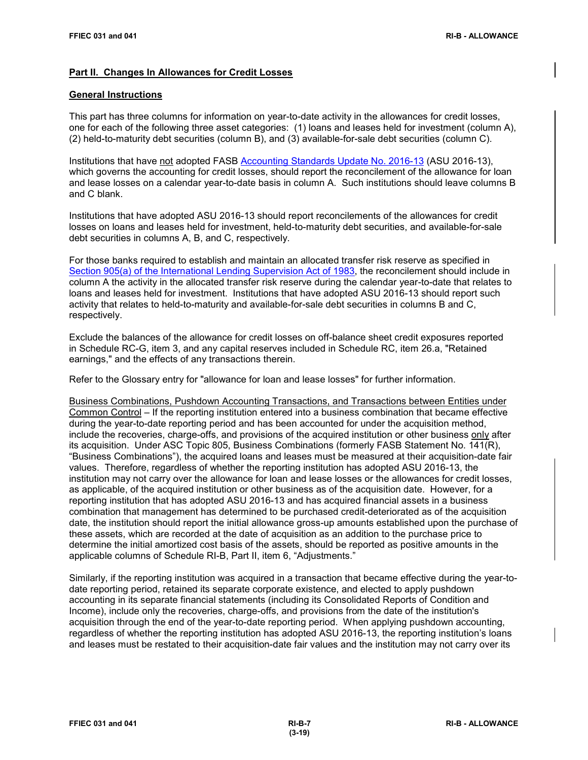### **Part II. Changes In Allowances for Credit Losses**

#### **General Instructions**

This part has three columns for information on year-to-date activity in the allowances for credit losses, one for each of the following three asset categories: (1) loans and leases held for investment (column A), (2) held-to-maturity debt securities (column B), and (3) available-for-sale debt securities (column C).

Institutions that have not adopted FASB [Accounting Standards Update No. 2016-13](https://www.fasb.org/jsp/FASB/Document_C/DocumentPage?cid=1176168232528&acceptedDisclaimer=true) (ASU 2016-13), which governs the accounting for credit losses, should report the reconcilement of the allowance for loan and lease losses on a calendar year-to-date basis in column A. Such institutions should leave columns B and C blank.

Institutions that have adopted ASU 2016-13 should report reconcilements of the allowances for credit losses on loans and leases held for investment, held-to-maturity debt securities, and available-for-sale debt securities in columns A, B, and C, respectively.

For those banks required to establish and maintain an allocated transfer risk reserve as specified in [Section 905\(a\) of the International Lending Supervision Act of 1983,](https://www.gpo.gov/fdsys/pkg/USCODE-2015-title12/pdf/USCODE-2015-title12-chap40-sec3904.pdf) the reconcilement should include in column A the activity in the allocated transfer risk reserve during the calendar year-to-date that relates to loans and leases held for investment. Institutions that have adopted ASU 2016-13 should report such activity that relates to held-to-maturity and available-for-sale debt securities in columns B and C, respectively.

Exclude the balances of the allowance for credit losses on off-balance sheet credit exposures reported in Schedule RC-G, item 3, and any capital reserves included in Schedule RC, item 26.a, "Retained earnings," and the effects of any transactions therein.

Refer to the Glossary entry for "allowance for loan and lease losses" for further information.

Business Combinations, Pushdown Accounting Transactions, and Transactions between Entities under Common Control – If the reporting institution entered into a business combination that became effective during the year-to-date reporting period and has been accounted for under the acquisition method, include the recoveries, charge-offs, and provisions of the acquired institution or other business only after its acquisition. Under ASC Topic 805, Business Combinations (formerly FASB Statement No. 141(R), "Business Combinations"), the acquired loans and leases must be measured at their acquisition-date fair values. Therefore, regardless of whether the reporting institution has adopted ASU 2016-13, the institution may not carry over the allowance for loan and lease losses or the allowances for credit losses, as applicable, of the acquired institution or other business as of the acquisition date. However, for a reporting institution that has adopted ASU 2016-13 and has acquired financial assets in a business combination that management has determined to be purchased credit-deteriorated as of the acquisition date, the institution should report the initial allowance gross-up amounts established upon the purchase of these assets, which are recorded at the date of acquisition as an addition to the purchase price to determine the initial amortized cost basis of the assets, should be reported as positive amounts in the applicable columns of Schedule RI-B, Part II, item 6, "Adjustments."

Similarly, if the reporting institution was acquired in a transaction that became effective during the year-todate reporting period, retained its separate corporate existence, and elected to apply pushdown accounting in its separate financial statements (including its Consolidated Reports of Condition and Income), include only the recoveries, charge-offs, and provisions from the date of the institution's acquisition through the end of the year-to-date reporting period. When applying pushdown accounting, regardless of whether the reporting institution has adopted ASU 2016-13, the reporting institution's loans and leases must be restated to their acquisition-date fair values and the institution may not carry over its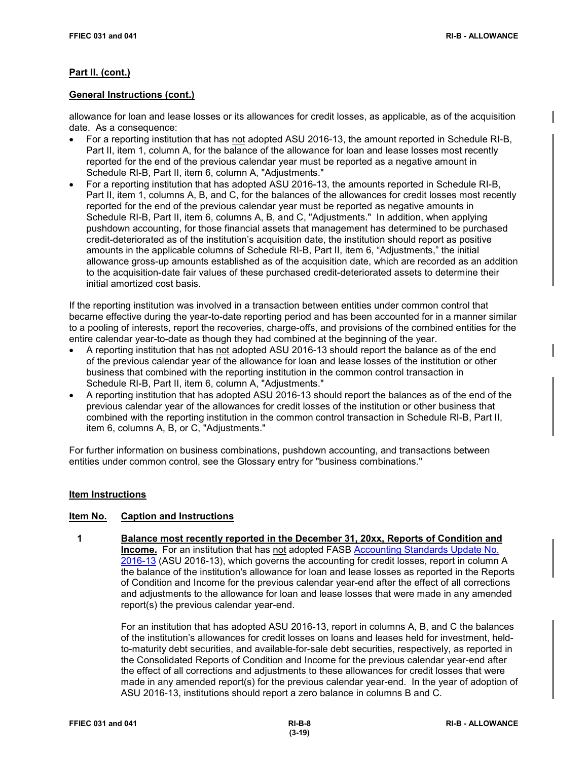## **General Instructions (cont.)**

allowance for loan and lease losses or its allowances for credit losses, as applicable, as of the acquisition date. As a consequence:

- For a reporting institution that has not adopted ASU 2016-13, the amount reported in Schedule RI-B, Part II, item 1, column A, for the balance of the allowance for loan and lease losses most recently reported for the end of the previous calendar year must be reported as a negative amount in Schedule RI-B, Part II, item 6, column A, "Adjustments."
- For a reporting institution that has adopted ASU 2016-13, the amounts reported in Schedule RI-B, Part II, item 1, columns A, B, and C, for the balances of the allowances for credit losses most recently reported for the end of the previous calendar year must be reported as negative amounts in Schedule RI-B, Part II, item 6, columns A, B, and C, "Adjustments." In addition, when applying pushdown accounting, for those financial assets that management has determined to be purchased credit-deteriorated as of the institution's acquisition date, the institution should report as positive amounts in the applicable columns of Schedule RI-B, Part II, item 6, "Adjustments," the initial allowance gross-up amounts established as of the acquisition date, which are recorded as an addition to the acquisition-date fair values of these purchased credit-deteriorated assets to determine their initial amortized cost basis.

If the reporting institution was involved in a transaction between entities under common control that became effective during the year-to-date reporting period and has been accounted for in a manner similar to a pooling of interests, report the recoveries, charge-offs, and provisions of the combined entities for the entire calendar year-to-date as though they had combined at the beginning of the year.

- A reporting institution that has not adopted ASU 2016-13 should report the balance as of the end of the previous calendar year of the allowance for loan and lease losses of the institution or other business that combined with the reporting institution in the common control transaction in Schedule RI-B, Part II, item 6, column A, "Adjustments."
- A reporting institution that has adopted ASU 2016-13 should report the balances as of the end of the previous calendar year of the allowances for credit losses of the institution or other business that combined with the reporting institution in the common control transaction in Schedule RI-B, Part II, item 6, columns A, B, or C, "Adjustments."

For further information on business combinations, pushdown accounting, and transactions between entities under common control, see the Glossary entry for "business combinations."

#### **Item Instructions**

#### **Item No. Caption and Instructions**

 **1 Balance most recently reported in the December 31, 20xx, Reports of Condition and Income.** For an institution that has not adopted FASB [Accounting Standards Update No.](https://www.fasb.org/jsp/FASB/Document_C/DocumentPage?cid=1176168232528&acceptedDisclaimer=true)  [2016-13](https://www.fasb.org/jsp/FASB/Document_C/DocumentPage?cid=1176168232528&acceptedDisclaimer=true) (ASU 2016-13), which governs the accounting for credit losses, report in column A the balance of the institution's allowance for loan and lease losses as reported in the Reports of Condition and Income for the previous calendar year-end after the effect of all corrections and adjustments to the allowance for loan and lease losses that were made in any amended report(s) the previous calendar year-end.

> For an institution that has adopted ASU 2016-13, report in columns A, B, and C the balances of the institution's allowances for credit losses on loans and leases held for investment, heldto-maturity debt securities, and available-for-sale debt securities, respectively, as reported in the Consolidated Reports of Condition and Income for the previous calendar year-end after the effect of all corrections and adjustments to these allowances for credit losses that were made in any amended report(s) for the previous calendar year-end. In the year of adoption of ASU 2016-13, institutions should report a zero balance in columns B and C.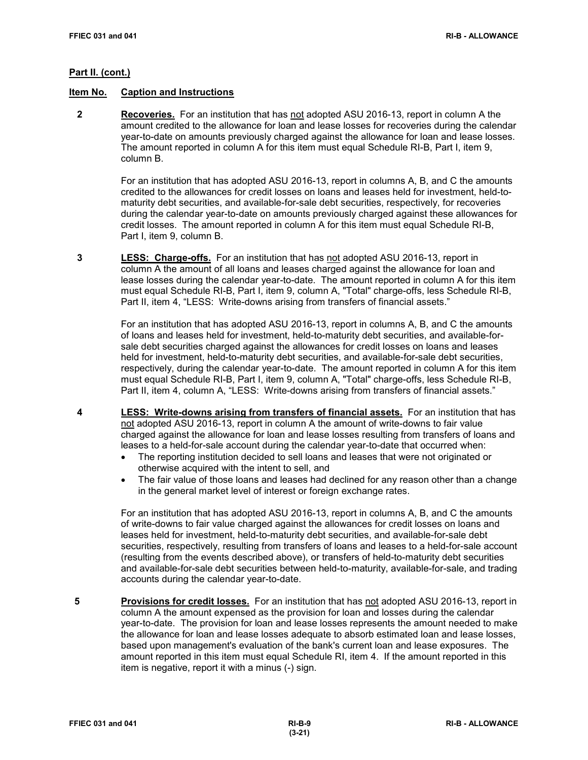#### **Item No. Caption and Instructions**

 **2 Recoveries.** For an institution that has not adopted ASU 2016-13, report in column A the amount credited to the allowance for loan and lease losses for recoveries during the calendar year-to-date on amounts previously charged against the allowance for loan and lease losses. The amount reported in column A for this item must equal Schedule RI-B, Part I, item 9, column B.

> For an institution that has adopted ASU 2016-13, report in columns A, B, and C the amounts credited to the allowances for credit losses on loans and leases held for investment, held-tomaturity debt securities, and available-for-sale debt securities, respectively, for recoveries during the calendar year-to-date on amounts previously charged against these allowances for credit losses. The amount reported in column A for this item must equal Schedule RI-B, Part I, item 9, column B.

 **3 LESS: Charge-offs.** For an institution that has not adopted ASU 2016-13, report in column A the amount of all loans and leases charged against the allowance for loan and lease losses during the calendar year-to-date. The amount reported in column A for this item must equal Schedule RI-B, Part I, item 9, column A, "Total" charge-offs, less Schedule RI-B, Part II, item 4, "LESS: Write-downs arising from transfers of financial assets."

> For an institution that has adopted ASU 2016-13, report in columns A, B, and C the amounts of loans and leases held for investment, held-to-maturity debt securities, and available-forsale debt securities charged against the allowances for credit losses on loans and leases held for investment, held-to-maturity debt securities, and available-for-sale debt securities, respectively, during the calendar year-to-date. The amount reported in column A for this item must equal Schedule RI-B, Part I, item 9, column A, "Total" charge-offs, less Schedule RI-B, Part II, item 4, column A, "LESS: Write-downs arising from transfers of financial assets."

- **4 LESS: Write-downs arising from transfers of financial assets.** For an institution that has not adopted ASU 2016-13, report in column A the amount of write-downs to fair value charged against the allowance for loan and lease losses resulting from transfers of loans and leases to a held-for-sale account during the calendar year-to-date that occurred when:
	- The reporting institution decided to sell loans and leases that were not originated or otherwise acquired with the intent to sell, and
	- The fair value of those loans and leases had declined for any reason other than a change in the general market level of interest or foreign exchange rates.

For an institution that has adopted ASU 2016-13, report in columns A, B, and C the amounts of write-downs to fair value charged against the allowances for credit losses on loans and leases held for investment, held-to-maturity debt securities, and available-for-sale debt securities, respectively, resulting from transfers of loans and leases to a held-for-sale account (resulting from the events described above), or transfers of held-to-maturity debt securities and available-for-sale debt securities between held-to-maturity, available-for-sale, and trading accounts during the calendar year-to-date.

**5 Provisions for credit losses.** For an institution that has not adopted ASU 2016-13, report in column A the amount expensed as the provision for loan and losses during the calendar year-to-date. The provision for loan and lease losses represents the amount needed to make the allowance for loan and lease losses adequate to absorb estimated loan and lease losses, based upon management's evaluation of the bank's current loan and lease exposures. The amount reported in this item must equal Schedule RI, item 4. If the amount reported in this item is negative, report it with a minus (-) sign.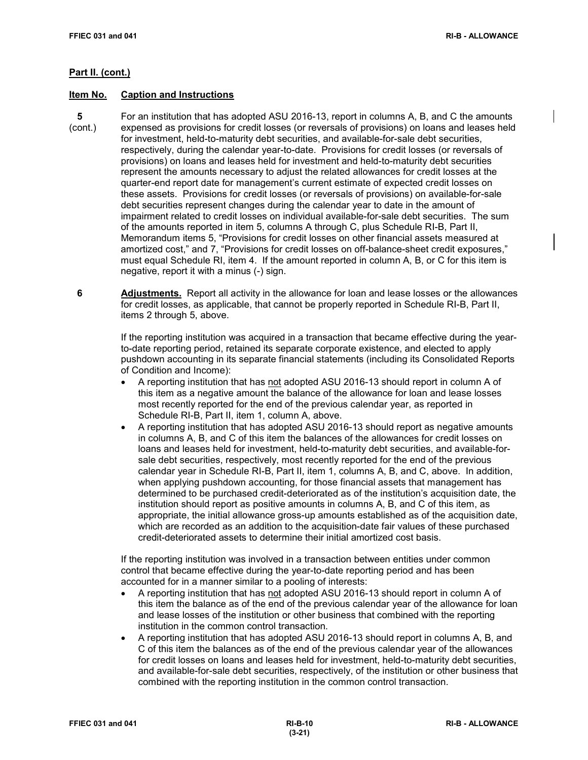## **Item No. Caption and Instructions**

- **5** For an institution that has adopted ASU 2016-13, report in columns A, B, and C the amounts (cont.) expensed as provisions for credit losses (or reversals of provisions) on loans and leases held for investment, held-to-maturity debt securities, and available-for-sale debt securities, respectively, during the calendar year-to-date. Provisions for credit losses (or reversals of provisions) on loans and leases held for investment and held-to-maturity debt securities represent the amounts necessary to adjust the related allowances for credit losses at the quarter-end report date for management's current estimate of expected credit losses on these assets. Provisions for credit losses (or reversals of provisions) on available-for-sale debt securities represent changes during the calendar year to date in the amount of impairment related to credit losses on individual available-for-sale debt securities. The sum of the amounts reported in item 5, columns A through C, plus Schedule RI-B, Part II, Memorandum items 5, "Provisions for credit losses on other financial assets measured at amortized cost," and 7, "Provisions for credit losses on off-balance-sheet credit exposures," must equal Schedule RI, item 4. If the amount reported in column A, B, or C for this item is negative, report it with a minus (-) sign.
	- **6 Adjustments.** Report all activity in the allowance for loan and lease losses or the allowances for credit losses, as applicable, that cannot be properly reported in Schedule RI-B, Part II, items 2 through 5, above.

If the reporting institution was acquired in a transaction that became effective during the yearto-date reporting period, retained its separate corporate existence, and elected to apply pushdown accounting in its separate financial statements (including its Consolidated Reports of Condition and Income):

- A reporting institution that has not adopted ASU 2016-13 should report in column A of this item as a negative amount the balance of the allowance for loan and lease losses most recently reported for the end of the previous calendar year, as reported in Schedule RI-B, Part II, item 1, column A, above.
- A reporting institution that has adopted ASU 2016-13 should report as negative amounts in columns A, B, and C of this item the balances of the allowances for credit losses on loans and leases held for investment, held-to-maturity debt securities, and available-forsale debt securities, respectively, most recently reported for the end of the previous calendar year in Schedule RI-B, Part II, item 1, columns A, B, and C, above. In addition, when applying pushdown accounting, for those financial assets that management has determined to be purchased credit-deteriorated as of the institution's acquisition date, the institution should report as positive amounts in columns A, B, and C of this item, as appropriate, the initial allowance gross-up amounts established as of the acquisition date, which are recorded as an addition to the acquisition-date fair values of these purchased credit-deteriorated assets to determine their initial amortized cost basis.

If the reporting institution was involved in a transaction between entities under common control that became effective during the year-to-date reporting period and has been accounted for in a manner similar to a pooling of interests:

- A reporting institution that has not adopted ASU 2016-13 should report in column A of this item the balance as of the end of the previous calendar year of the allowance for loan and lease losses of the institution or other business that combined with the reporting institution in the common control transaction.
- A reporting institution that has adopted ASU 2016-13 should report in columns A, B, and C of this item the balances as of the end of the previous calendar year of the allowances for credit losses on loans and leases held for investment, held-to-maturity debt securities, and available-for-sale debt securities, respectively, of the institution or other business that combined with the reporting institution in the common control transaction.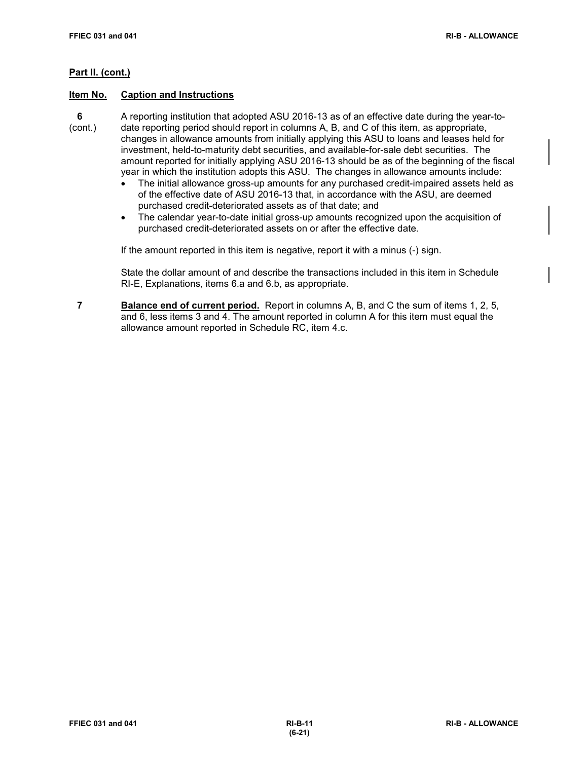#### **Item No. Caption and Instructions**

- **6** A reporting institution that adopted ASU 2016-13 as of an effective date during the year-to- (cont.) date reporting period should report in columns A, B, and C of this item, as appropriate, changes in allowance amounts from initially applying this ASU to loans and leases held for investment, held-to-maturity debt securities, and available-for-sale debt securities. The amount reported for initially applying ASU 2016-13 should be as of the beginning of the fiscal year in which the institution adopts this ASU. The changes in allowance amounts include:
	- The initial allowance gross-up amounts for any purchased credit-impaired assets held as of the effective date of ASU 2016-13 that, in accordance with the ASU, are deemed purchased credit-deteriorated assets as of that date; and
	- The calendar year-to-date initial gross-up amounts recognized upon the acquisition of purchased credit-deteriorated assets on or after the effective date.

If the amount reported in this item is negative, report it with a minus (-) sign.

State the dollar amount of and describe the transactions included in this item in Schedule RI-E, Explanations, items 6.a and 6.b, as appropriate.

 **7 Balance end of current period.** Report in columns A, B, and C the sum of items 1, 2, 5, and 6, less items 3 and 4. The amount reported in column A for this item must equal the allowance amount reported in Schedule RC, item 4.c.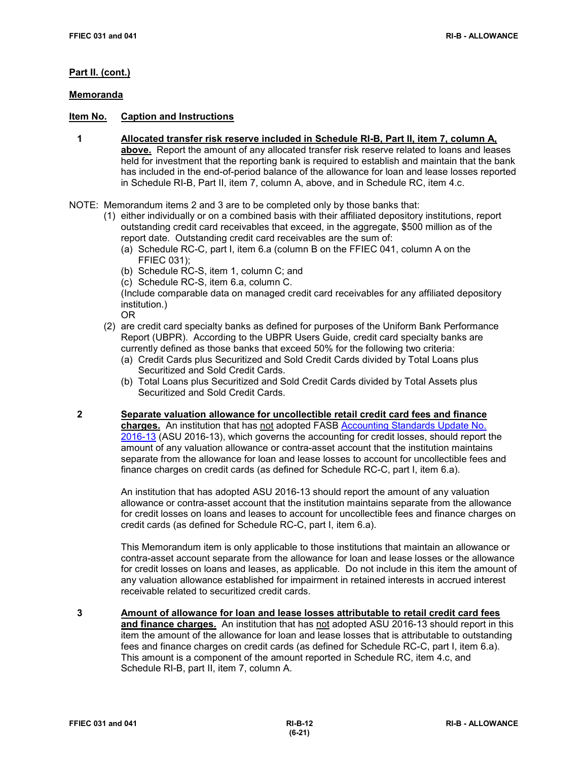### **Memoranda**

# **Item No. Caption and Instructions**

- **1 Allocated transfer risk reserve included in Schedule RI-B, Part II, item 7, column A, above.** Report the amount of any allocated transfer risk reserve related to loans and leases held for investment that the reporting bank is required to establish and maintain that the bank has included in the end-of-period balance of the allowance for loan and lease losses reported in Schedule RI-B, Part II, item 7, column A, above, and in Schedule RC, item 4.c.
- NOTE: Memorandum items 2 and 3 are to be completed only by those banks that:
	- (1) either individually or on a combined basis with their affiliated depository institutions, report outstanding credit card receivables that exceed, in the aggregate, \$500 million as of the report date. Outstanding credit card receivables are the sum of:
		- (a) Schedule RC-C, part I, item 6.a (column B on the FFIEC 041, column A on the FFIEC 031);
		- (b) Schedule RC-S, item 1, column C; and
		- (c) Schedule RC-S, item 6.a, column C.

(Include comparable data on managed credit card receivables for any affiliated depository institution.)

OR

- (2) are credit card specialty banks as defined for purposes of the Uniform Bank Performance Report (UBPR). According to the UBPR Users Guide, credit card specialty banks are
	- currently defined as those banks that exceed 50% for the following two criteria:
	- (a) Credit Cards plus Securitized and Sold Credit Cards divided by Total Loans plus Securitized and Sold Credit Cards.
	- (b) Total Loans plus Securitized and Sold Credit Cards divided by Total Assets plus Securitized and Sold Credit Cards.
- **2 Separate valuation allowance for uncollectible retail credit card fees and finance charges.** An institution that has not adopted FASB [Accounting Standards Update No.](https://www.fasb.org/jsp/FASB/Document_C/DocumentPage?cid=1176168232528&acceptedDisclaimer=true)  [2016-13](https://www.fasb.org/jsp/FASB/Document_C/DocumentPage?cid=1176168232528&acceptedDisclaimer=true) (ASU 2016-13), which governs the accounting for credit losses, should report the amount of any valuation allowance or contra-asset account that the institution maintains separate from the allowance for loan and lease losses to account for uncollectible fees and finance charges on credit cards (as defined for Schedule RC-C, part I, item 6.a).

An institution that has adopted ASU 2016-13 should report the amount of any valuation allowance or contra-asset account that the institution maintains separate from the allowance for credit losses on loans and leases to account for uncollectible fees and finance charges on credit cards (as defined for Schedule RC-C, part I, item 6.a).

This Memorandum item is only applicable to those institutions that maintain an allowance or contra-asset account separate from the allowance for loan and lease losses or the allowance for credit losses on loans and leases, as applicable. Do not include in this item the amount of any valuation allowance established for impairment in retained interests in accrued interest receivable related to securitized credit cards.

 **3 Amount of allowance for loan and lease losses attributable to retail credit card fees and finance charges.** An institution that has not adopted ASU 2016-13 should report in this item the amount of the allowance for loan and lease losses that is attributable to outstanding fees and finance charges on credit cards (as defined for Schedule RC-C, part I, item 6.a). This amount is a component of the amount reported in Schedule RC, item 4.c, and Schedule RI-B, part II, item 7, column A.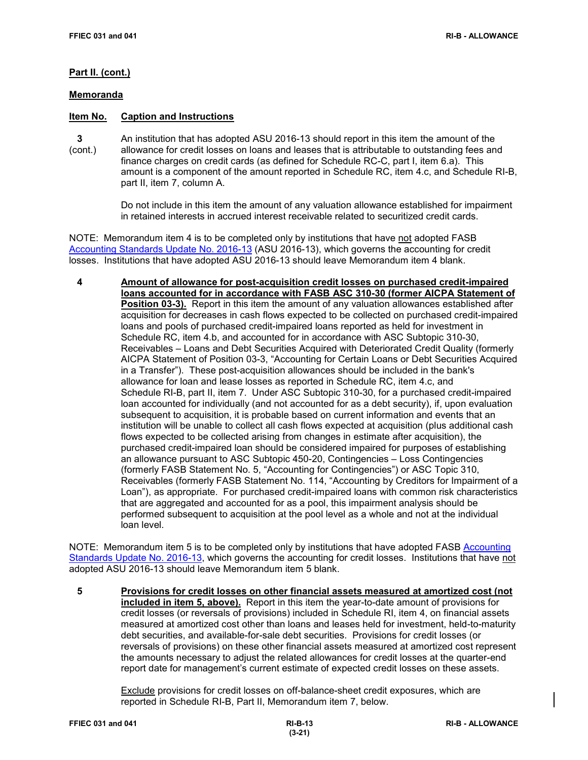#### **Memoranda**

# **Item No. Caption and Instructions**

 **3** An institution that has adopted ASU 2016-13 should report in this item the amount of the (cont.) allowance for credit losses on loans and leases that is attributable to outstanding fees and finance charges on credit cards (as defined for Schedule RC-C, part I, item 6.a). This amount is a component of the amount reported in Schedule RC, item 4.c, and Schedule RI-B, part II, item 7, column A.

> Do not include in this item the amount of any valuation allowance established for impairment in retained interests in accrued interest receivable related to securitized credit cards.

NOTE: Memorandum item 4 is to be completed only by institutions that have not adopted FASB [Accounting Standards Update No. 2016-13](https://www.fasb.org/jsp/FASB/Document_C/DocumentPage?cid=1176168232528&acceptedDisclaimer=true) (ASU 2016-13), which governs the accounting for credit losses. Institutions that have adopted ASU 2016-13 should leave Memorandum item 4 blank.

 **4 Amount of allowance for post-acquisition credit losses on purchased credit-impaired loans accounted for in accordance with FASB ASC 310-30 (former AICPA Statement of Position 03-3).** Report in this item the amount of any valuation allowances established after acquisition for decreases in cash flows expected to be collected on purchased credit-impaired loans and pools of purchased credit-impaired loans reported as held for investment in Schedule RC, item 4.b, and accounted for in accordance with ASC Subtopic 310-30, Receivables – Loans and Debt Securities Acquired with Deteriorated Credit Quality (formerly AICPA Statement of Position 03-3, "Accounting for Certain Loans or Debt Securities Acquired in a Transfer"). These post-acquisition allowances should be included in the bank's allowance for loan and lease losses as reported in Schedule RC, item 4.c, and Schedule RI-B, part II, item 7. Under ASC Subtopic 310-30, for a purchased credit-impaired loan accounted for individually (and not accounted for as a debt security), if, upon evaluation subsequent to acquisition, it is probable based on current information and events that an institution will be unable to collect all cash flows expected at acquisition (plus additional cash flows expected to be collected arising from changes in estimate after acquisition), the purchased credit-impaired loan should be considered impaired for purposes of establishing an allowance pursuant to ASC Subtopic 450-20, Contingencies – Loss Contingencies (formerly FASB Statement No. 5, "Accounting for Contingencies") or ASC Topic 310, Receivables (formerly FASB Statement No. 114, "Accounting by Creditors for Impairment of a Loan"), as appropriate. For purchased credit-impaired loans with common risk characteristics that are aggregated and accounted for as a pool, this impairment analysis should be performed subsequent to acquisition at the pool level as a whole and not at the individual loan level.

NOTE: Memorandum item 5 is to be completed only by institutions that have adopted FASB [Accounting](https://www.fasb.org/jsp/FASB/Document_C/DocumentPage?cid=1176168232528&acceptedDisclaimer=true)  [Standards Update No. 2016-13,](https://www.fasb.org/jsp/FASB/Document_C/DocumentPage?cid=1176168232528&acceptedDisclaimer=true) which governs the accounting for credit losses. Institutions that have not adopted ASU 2016-13 should leave Memorandum item 5 blank.

 **5 Provisions for credit losses on other financial assets measured at amortized cost (not included in item 5, above).** Report in this item the year-to-date amount of provisions for credit losses (or reversals of provisions) included in Schedule RI, item 4, on financial assets measured at amortized cost other than loans and leases held for investment, held-to-maturity debt securities, and available-for-sale debt securities. Provisions for credit losses (or reversals of provisions) on these other financial assets measured at amortized cost represent the amounts necessary to adjust the related allowances for credit losses at the quarter-end report date for management's current estimate of expected credit losses on these assets.

> Exclude provisions for credit losses on off-balance-sheet credit exposures, which are reported in Schedule RI-B, Part II, Memorandum item 7, below.